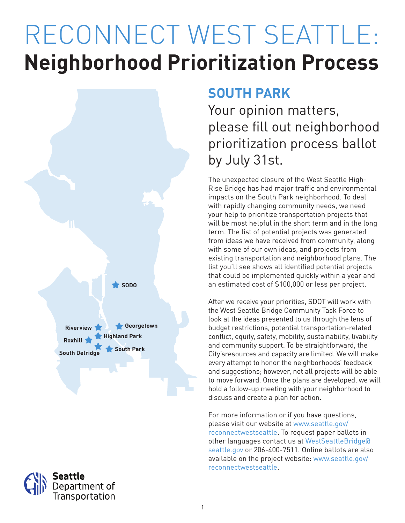# RECONNECT WEST SEATTLE: **Neighborhood Prioritization Process**





### **SOUTH PARK**

Your opinion matters, please fill out neighborhood prioritization process ballot by July 31st.

The unexpected closure of the West Seattle High-Rise Bridge has had major traffic and environmental impacts on the South Park neighborhood. To deal with rapidly changing community needs, we need your help to prioritize transportation projects that will be most helpful in the short term and in the long term. The list of potential projects was generated from ideas we have received from community, along with some of our own ideas, and projects from existing transportation and neighborhood plans. The list you'll see shows all identified potential projects that could be implemented quickly within a year and an estimated cost of \$100,000 or less per project.

After we receive your priorities, SDOT will work with the West Seattle Bridge Community Task Force to look at the ideas presented to us through the lens of budget restrictions, potential transportation-related conflict, equity, safety, mobility, sustainability, livability and community support. To be straightforward, the City'sresources and capacity are limited. We will make every attempt to honor the neighborhoods' feedback and suggestions; however, not all projects will be able to move forward. Once the plans are developed, we will hold a follow-up meeting with your neighborhood to discuss and create a plan for action.

For more information or if you have questions, please visit our website at www.seattle.gov/ reconnectwestseattle. To request paper ballots in other languages contact us at WestSeattleBridge@ seattle.gov or 206-400-7511. Online ballots are also available on the project website: www.seattle.gov/ reconnectwestseattle.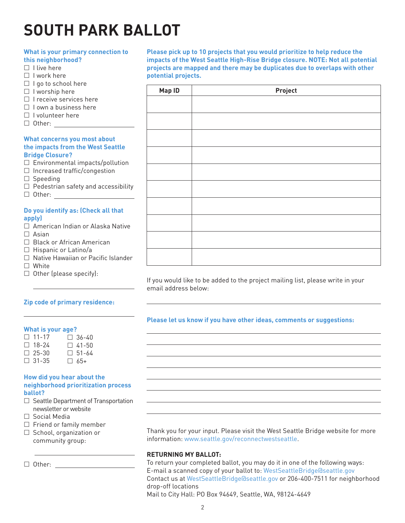## **SOUTH PARK BALLOT**

#### **What is your primary connection to this neighborhood?**  $\Box$  I live here  $\Box$  I work here  $\Box$  I go to school here  $\Box$  I worship here  $\Box$  I receive services here  $\Box$  I own a business here  $\Box$  I volunteer here □ Other: <u>\_\_\_\_\_</u> **What concerns you most about the impacts from the West Seattle Bridge Closure?**  $\square$  Environmental impacts/pollution  $\Box$  Increased traffic/congestion  $\square$  Speeding  $\Box$  Pedestrian safety and accessibility Other:

#### **Do you identify as: (Check all that apply)**

- □ American Indian or Alaska Native  $\Box$  Asian
- □ Black or African American
- $\Box$  Hispanic or Latino/a
- □ Native Hawaiian or Pacific Islander
- □ White
- $\Box$  Other (please specify):

#### **Zip code of primary residence:**

#### **What is your age?**

| $\Box$ 11-17 | $\Box$ 36-40 |
|--------------|--------------|
| $\Box$ 18-24 | $\Box$ 41-50 |
| $\Box$ 25-30 | $\Box$ 51-64 |
| $\Box$ 31-35 | $\Box$ 65+   |

#### **How did you hear about the neighborhood prioritization process ballot?**

- $\Box$  Seattle Department of Transportation newsletter or website
- Social Media
- $\Box$  Friend or family member
- $\Box$  School, organization or community group:

 $\Box$  Other:  $\_\_$ 

**Please pick up to 10 projects that you would prioritize to help reduce the impacts of the West Seattle High-Rise Bridge closure. NOTE: Not all potential projects are mapped and there may be duplicates due to overlaps with other potential projects.**

| Map ID | Project |
|--------|---------|
|        |         |
|        |         |
|        |         |
|        |         |
|        |         |
|        |         |
|        |         |
|        |         |
|        |         |
|        |         |
|        |         |

If you would like to be added to the project mailing list, please write in your email address below:

#### **Please let us know if you have other ideas, comments or suggestions:**

Thank you for your input. Please visit the West Seattle Bridge website for more information: www.seattle.gov/reconnectwestseattle.

#### **RETURNING MY BALLOT:**

To return your completed ballot, you may do it in one of the following ways: E-mail a scanned copy of your ballot to: WestSeattleBridge@seattle.gov Contact us at WestSeattleBridge@seattle.gov or 206-400-7511 for neighborhood drop-off locations

Mail to City Hall: PO Box 94649, Seattle, WA, 98124-4649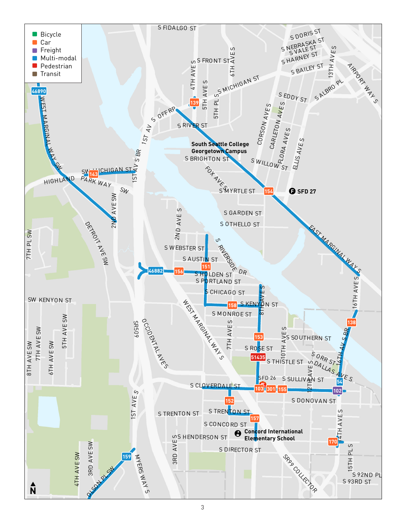